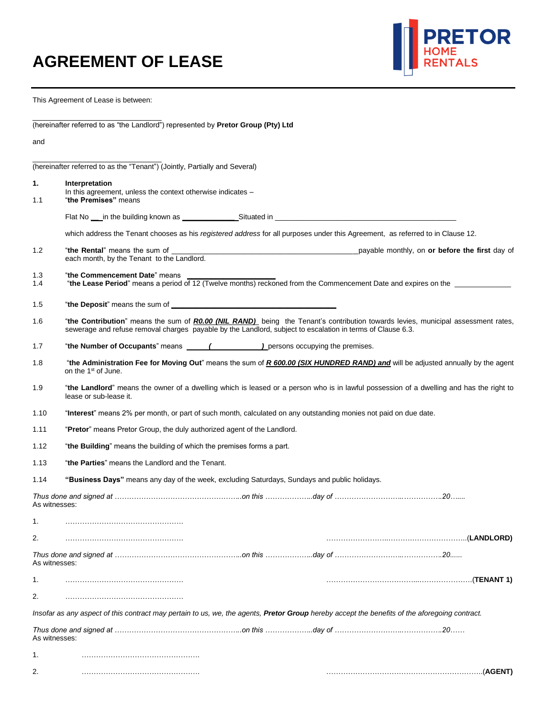

This Agreement of Lease is between:

| (hereinafter referred to as "the Landlord") represented by Pretor Group (Pty) Ltd |
|-----------------------------------------------------------------------------------|

and

\_\_\_\_\_\_\_\_\_\_\_\_\_\_\_\_\_\_\_\_\_\_\_\_\_\_\_\_\_\_\_\_ (hereinafter referred to as the "Tenant") (Jointly, Partially and Several)

|               | (hereinafter referred to as the "Tenant") (Jointly, Partially and Several)                                                                                                                                                                            |  |
|---------------|-------------------------------------------------------------------------------------------------------------------------------------------------------------------------------------------------------------------------------------------------------|--|
| 1.<br>1.1     | Interpretation<br>In this agreement, unless the context otherwise indicates -<br>"the Premises" means                                                                                                                                                 |  |
|               |                                                                                                                                                                                                                                                       |  |
|               |                                                                                                                                                                                                                                                       |  |
|               | which address the Tenant chooses as his registered address for all purposes under this Agreement, as referred to in Clause 12.                                                                                                                        |  |
| 1.2           | each month, by the Tenant to the Landlord.                                                                                                                                                                                                            |  |
| 1.3<br>1.4    | "the Commencement Date" means<br>"the Lease Period" means a period of 12 (Twelve months) reckoned from the Commencement Date and expires on the                                                                                                       |  |
| 1.5           |                                                                                                                                                                                                                                                       |  |
| 1.6           | "the Contribution" means the sum of <i>R0.00 (NIL RAND)</i> being the Tenant's contribution towards levies, municipal assessment rates,<br>sewerage and refuse removal charges payable by the Landlord, subject to escalation in terms of Clause 6.3. |  |
| 1.7           |                                                                                                                                                                                                                                                       |  |
| 1.8           | "the Administration Fee for Moving Out" means the sum of R 600.00 (SIX HUNDRED RAND) and will be adjusted annually by the agent<br>on the 1 <sup>st</sup> of June.                                                                                    |  |
| 1.9           | "the Landlord" means the owner of a dwelling which is leased or a person who is in lawful possession of a dwelling and has the right to<br>lease or sub-lease it.                                                                                     |  |
| 1.10          | "Interest" means 2% per month, or part of such month, calculated on any outstanding monies not paid on due date.                                                                                                                                      |  |
| 1.11          | "Pretor" means Pretor Group, the duly authorized agent of the Landlord.                                                                                                                                                                               |  |
| 1.12          | "the Building" means the building of which the premises forms a part.                                                                                                                                                                                 |  |
| 1.13          | "the Parties" means the Landlord and the Tenant.                                                                                                                                                                                                      |  |
| 1.14          | "Business Days" means any day of the week, excluding Saturdays, Sundays and public holidays.                                                                                                                                                          |  |
| As witnesses: |                                                                                                                                                                                                                                                       |  |
| 1.            |                                                                                                                                                                                                                                                       |  |
| 2.            |                                                                                                                                                                                                                                                       |  |
| As witnesses: |                                                                                                                                                                                                                                                       |  |
| 1.            | .(TENANT 1).                                                                                                                                                                                                                                          |  |
| 2.            |                                                                                                                                                                                                                                                       |  |
|               | Insofar as any aspect of this contract may pertain to us, we, the agents, Pretor Group hereby accept the benefits of the aforegoing contract.                                                                                                         |  |
| As witnesses: |                                                                                                                                                                                                                                                       |  |
| 1.            |                                                                                                                                                                                                                                                       |  |
| 2.            |                                                                                                                                                                                                                                                       |  |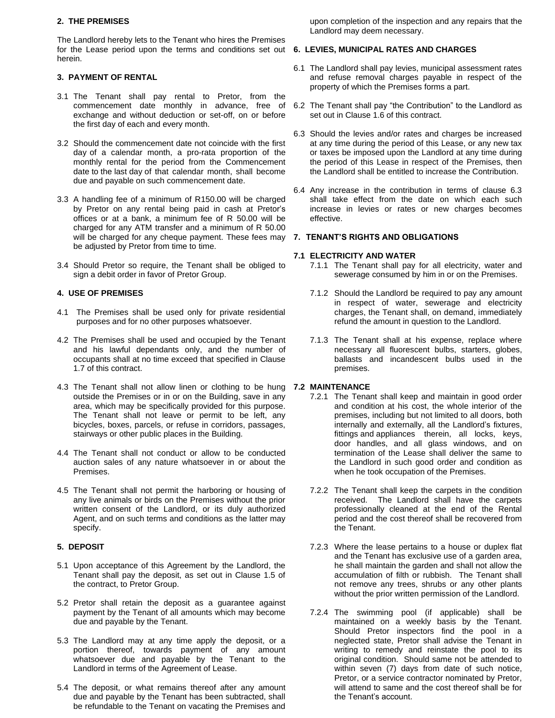## **2. THE PREMISES**

The Landlord hereby lets to the Tenant who hires the Premises for the Lease period upon the terms and conditions set out **6. LEVIES, MUNICIPAL RATES AND CHARGES** herein.

# **3. PAYMENT OF RENTAL**

- 3.1 The Tenant shall pay rental to Pretor, from the commencement date monthly in advance, free of exchange and without deduction or set-off, on or before the first day of each and every month.
- 3.2 Should the commencement date not coincide with the first day of a calendar month, a pro-rata proportion of the monthly rental for the period from the Commencement date to the last day of that calendar month, shall become due and payable on such commencement date.
- 3.3 A handling fee of a minimum of R150.00 will be charged by Pretor on any rental being paid in cash at Pretor's offices or at a bank, a minimum fee of R 50.00 will be charged for any ATM transfer and a minimum of R 50.00 will be charged for any cheque payment. These fees may be adjusted by Pretor from time to time.
- 3.4 Should Pretor so require, the Tenant shall be obliged to sign a debit order in favor of Pretor Group.

# **4. USE OF PREMISES**

- 4.1 The Premises shall be used only for private residential purposes and for no other purposes whatsoever.
- 4.2 The Premises shall be used and occupied by the Tenant and his lawful dependants only, and the number of occupants shall at no time exceed that specified in Clause 1.7 of this contract.
- 4.3 The Tenant shall not allow linen or clothing to be hung outside the Premises or in or on the Building, save in any area, which may be specifically provided for this purpose. The Tenant shall not leave or permit to be left, any bicycles, boxes, parcels, or refuse in corridors, passages, stairways or other public places in the Building.
- 4.4 The Tenant shall not conduct or allow to be conducted auction sales of any nature whatsoever in or about the Premises.
- 4.5 The Tenant shall not permit the harboring or housing of any live animals or birds on the Premises without the prior written consent of the Landlord, or its duly authorized Agent, and on such terms and conditions as the latter may specify.

# **5. DEPOSIT**

- 5.1 Upon acceptance of this Agreement by the Landlord, the Tenant shall pay the deposit, as set out in Clause 1.5 of the contract, to Pretor Group.
- 5.2 Pretor shall retain the deposit as a guarantee against payment by the Tenant of all amounts which may become due and payable by the Tenant.
- 5.3 The Landlord may at any time apply the deposit, or a portion thereof, towards payment of any amount whatsoever due and payable by the Tenant to the Landlord in terms of the Agreement of Lease.
- 5.4 The deposit, or what remains thereof after any amount due and payable by the Tenant has been subtracted, shall be refundable to the Tenant on vacating the Premises and

upon completion of the inspection and any repairs that the Landlord may deem necessary.

- 6.1 The Landlord shall pay levies, municipal assessment rates and refuse removal charges payable in respect of the property of which the Premises forms a part.
- 6.2 The Tenant shall pay "the Contribution" to the Landlord as set out in Clause 1.6 of this contract.
- 6.3 Should the levies and/or rates and charges be increased at any time during the period of this Lease, or any new tax or taxes be imposed upon the Landlord at any time during the period of this Lease in respect of the Premises, then the Landlord shall be entitled to increase the Contribution.
- 6.4 Any increase in the contribution in terms of clause 6.3 shall take effect from the date on which each such increase in levies or rates or new charges becomes effective.

# **7. TENANT'S RIGHTS AND OBLIGATIONS**

# **7.1 ELECTRICITY AND WATER**

- 7.1.1 The Tenant shall pay for all electricity, water and sewerage consumed by him in or on the Premises.
- 7.1.2 Should the Landlord be required to pay any amount in respect of water, sewerage and electricity charges, the Tenant shall, on demand, immediately refund the amount in question to the Landlord.
- 7.1.3 The Tenant shall at his expense, replace where necessary all fluorescent bulbs, starters, globes, ballasts and incandescent bulbs used in the premises.

# **7.2 MAINTENANCE**

- 7.2.1 The Tenant shall keep and maintain in good order and condition at his cost, the whole interior of the premises, including but not limited to all doors, both internally and externally, all the Landlord's fixtures, fittings and appliances therein, all locks, keys, door handles, and all glass windows, and on termination of the Lease shall deliver the same to the Landlord in such good order and condition as when he took occupation of the Premises.
- 7.2.2 The Tenant shall keep the carpets in the condition received. The Landlord shall have the carpets professionally cleaned at the end of the Rental period and the cost thereof shall be recovered from the Tenant.
- 7.2.3 Where the lease pertains to a house or duplex flat and the Tenant has exclusive use of a garden area, he shall maintain the garden and shall not allow the accumulation of filth or rubbish. The Tenant shall not remove any trees, shrubs or any other plants without the prior written permission of the Landlord.
- 7.2.4 The swimming pool (if applicable) shall be maintained on a weekly basis by the Tenant. Should Pretor inspectors find the pool in a neglected state, Pretor shall advise the Tenant in writing to remedy and reinstate the pool to its original condition. Should same not be attended to within seven (7) days from date of such notice, Pretor, or a service contractor nominated by Pretor, will attend to same and the cost thereof shall be for the Tenant's account.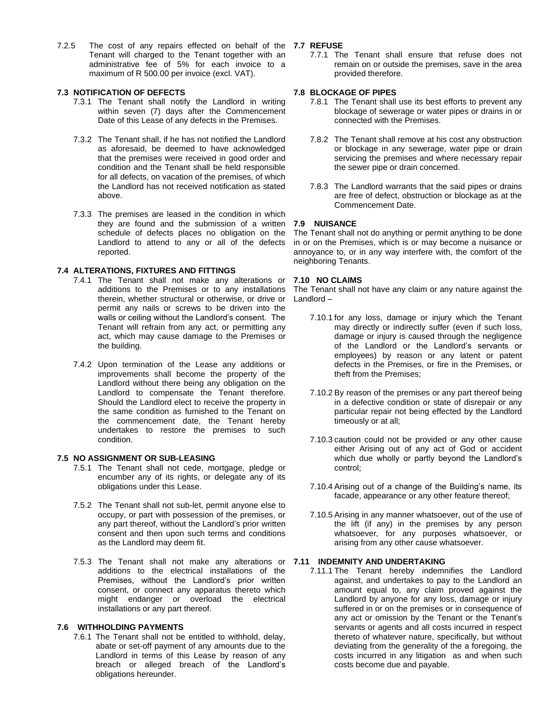7.2.5 The cost of any repairs effected on behalf of the **7.7 REFUSE** Tenant will charged to the Tenant together with an administrative fee of 5% for each invoice to a maximum of R 500.00 per invoice (excl. VAT).

## **7.3 NOTIFICATION OF DEFECTS**

- 7.3.1 The Tenant shall notify the Landlord in writing within seven (7) days after the Commencement Date of this Lease of any defects in the Premises.
- 7.3.2 The Tenant shall, if he has not notified the Landlord as aforesaid, be deemed to have acknowledged that the premises were received in good order and condition and the Tenant shall be held responsible for all defects, on vacation of the premises, of which the Landlord has not received notification as stated above.
- 7.3.3 The premises are leased in the condition in which they are found and the submission of a written schedule of defects places no obligation on the Landlord to attend to any or all of the defects reported.

## **7.4 ALTERATIONS, FIXTURES AND FITTINGS**

- 7.4.1 The Tenant shall not make any alterations or additions to the Premises or to any installations therein, whether structural or otherwise, or drive or permit any nails or screws to be driven into the walls or ceiling without the Landlord's consent. The Tenant will refrain from any act, or permitting any act, which may cause damage to the Premises or the building.
- 7.4.2 Upon termination of the Lease any additions or improvements shall become the property of the Landlord without there being any obligation on the Landlord to compensate the Tenant therefore. Should the Landlord elect to receive the property in the same condition as furnished to the Tenant on the commencement date, the Tenant hereby undertakes to restore the premises to such condition.

## **7.5 NO ASSIGNMENT OR SUB-LEASING**

- 7.5.1 The Tenant shall not cede, mortgage, pledge or encumber any of its rights, or delegate any of its obligations under this Lease.
- 7.5.2 The Tenant shall not sub-let, permit anyone else to occupy, or part with possession of the premises, or any part thereof, without the Landlord's prior written consent and then upon such terms and conditions as the Landlord may deem fit.
- 7.5.3 The Tenant shall not make any alterations or **7.11 INDEMNITY AND UNDERTAKING** additions to the electrical installations of the Premises, without the Landlord's prior written consent, or connect any apparatus thereto which might endanger or overload the electrical installations or any part thereof.

# **7.6 WITHHOLDING PAYMENTS**

7.6.1 The Tenant shall not be entitled to withhold, delay, abate or set-off payment of any amounts due to the Landlord in terms of this Lease by reason of any breach or alleged breach of the Landlord's obligations hereunder.

7.7.1 The Tenant shall ensure that refuse does not remain on or outside the premises, save in the area provided therefore.

## **7.8 BLOCKAGE OF PIPES**

- 7.8.1 The Tenant shall use its best efforts to prevent any blockage of sewerage or water pipes or drains in or connected with the Premises.
- 7.8.2 The Tenant shall remove at his cost any obstruction or blockage in any sewerage, water pipe or drain servicing the premises and where necessary repair the sewer pipe or drain concerned.
- 7.8.3 The Landlord warrants that the said pipes or drains are free of defect, obstruction or blockage as at the Commencement Date.

## **7.9 NUISANCE**

The Tenant shall not do anything or permit anything to be done in or on the Premises, which is or may become a nuisance or annoyance to, or in any way interfere with, the comfort of the neighboring Tenants.

## **7.10 NO CLAIMS**

The Tenant shall not have any claim or any nature against the Landlord –

- 7.10.1 for any loss, damage or injury which the Tenant may directly or indirectly suffer (even if such loss, damage or injury is caused through the negligence of the Landlord or the Landlord's servants or employees) by reason or any latent or patent defects in the Premises, or fire in the Premises, or theft from the Premises;
- 7.10.2 By reason of the premises or any part thereof being in a defective condition or state of disrepair or any particular repair not being effected by the Landlord timeously or at all;
- 7.10.3 caution could not be provided or any other cause either Arising out of any act of God or accident which due wholly or partly beyond the Landlord's control;
- 7.10.4 Arising out of a change of the Building's name, its facade, appearance or any other feature thereof;
- 7.10.5 Arising in any manner whatsoever, out of the use of the lift (if any) in the premises by any person whatsoever, for any purposes whatsoever, or arising from any other cause whatsoever.

7.11.1 The Tenant hereby indemnifies the Landlord against, and undertakes to pay to the Landlord an amount equal to, any claim proved against the Landlord by anyone for any loss, damage or injury suffered in or on the premises or in consequence of any act or omission by the Tenant or the Tenant's servants or agents and all costs incurred in respect thereto of whatever nature, specifically, but without deviating from the generality of the a foregoing, the costs incurred in any litigation as and when such costs become due and payable.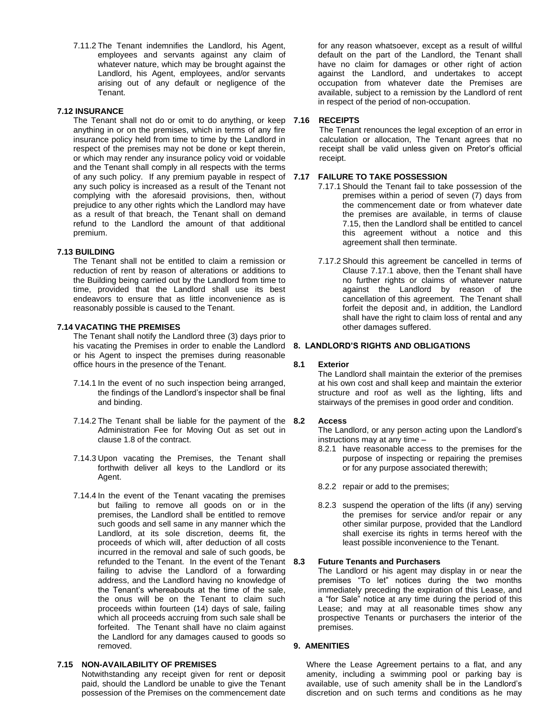7.11.2 The Tenant indemnifies the Landlord, his Agent, employees and servants against any claim of whatever nature, which may be brought against the Landlord, his Agent, employees, and/or servants arising out of any default or negligence of the Tenant.

## **7.12 INSURANCE**

The Tenant shall not do or omit to do anything, or keep 7.16 anything in or on the premises, which in terms of any fire insurance policy held from time to time by the Landlord in respect of the premises may not be done or kept therein, or which may render any insurance policy void or voidable and the Tenant shall comply in all respects with the terms of any such policy. If any premium payable in respect of **7.17 FAILURE TO TAKE POSSESSION** any such policy is increased as a result of the Tenant not complying with the aforesaid provisions, then, without prejudice to any other rights which the Landlord may have as a result of that breach, the Tenant shall on demand refund to the Landlord the amount of that additional premium.

### **7.13 BUILDING**

The Tenant shall not be entitled to claim a remission or reduction of rent by reason of alterations or additions to the Building being carried out by the Landlord from time to time, provided that the Landlord shall use its best endeavors to ensure that as little inconvenience as is reasonably possible is caused to the Tenant.

#### **7.14 VACATING THE PREMISES**

The Tenant shall notify the Landlord three (3) days prior to his vacating the Premises in order to enable the Landlord **8. LANDLORD'S RIGHTS AND OBLIGATIONS** or his Agent to inspect the premises during reasonable office hours in the presence of the Tenant.

- 7.14.1 In the event of no such inspection being arranged, the findings of the Landlord's inspector shall be final and binding.
- 7.14.2 The Tenant shall be liable for the payment of the 8.2 Administration Fee for Moving Out as set out in clause 1.8 of the contract.
- 7.14.3 Upon vacating the Premises, the Tenant shall forthwith deliver all keys to the Landlord or its Agent.
- 7.14.4 In the event of the Tenant vacating the premises but failing to remove all goods on or in the premises, the Landlord shall be entitled to remove such goods and sell same in any manner which the Landlord, at its sole discretion, deems fit, the proceeds of which will, after deduction of all costs incurred in the removal and sale of such goods, be refunded to the Tenant. In the event of the Tenant 8.3 failing to advise the Landlord of a forwarding address, and the Landlord having no knowledge of the Tenant's whereabouts at the time of the sale, the onus will be on the Tenant to claim such proceeds within fourteen (14) days of sale, failing which all proceeds accruing from such sale shall be forfeited. The Tenant shall have no claim against the Landlord for any damages caused to goods so removed.

### **7.15 NON-AVAILABILITY OF PREMISES**

Notwithstanding any receipt given for rent or deposit paid, should the Landlord be unable to give the Tenant possession of the Premises on the commencement date for any reason whatsoever, except as a result of willful default on the part of the Landlord, the Tenant shall have no claim for damages or other right of action against the Landlord, and undertakes to accept occupation from whatever date the Premises are available, subject to a remission by the Landlord of rent in respect of the period of non-occupation.

#### **7.16 RECEIPTS**

The Tenant renounces the legal exception of an error in calculation or allocation, The Tenant agrees that no receipt shall be valid unless given on Pretor's official receipt.

- 7.17.1 Should the Tenant fail to take possession of the premises within a period of seven (7) days from the commencement date or from whatever date the premises are available, in terms of clause 7.15, then the Landlord shall be entitled to cancel this agreement without a notice and this agreement shall then terminate.
- 7.17.2 Should this agreement be cancelled in terms of Clause 7.17.1 above, then the Tenant shall have no further rights or claims of whatever nature against the Landlord by reason of the cancellation of this agreement. The Tenant shall forfeit the deposit and, in addition, the Landlord shall have the right to claim loss of rental and any other damages suffered.

#### **8.1 Exterior**

The Landlord shall maintain the exterior of the premises at his own cost and shall keep and maintain the exterior structure and roof as well as the lighting, lifts and stairways of the premises in good order and condition.

#### **8.2 Access**

The Landlord, or any person acting upon the Landlord's instructions may at any time –

- 8.2.1 have reasonable access to the premises for the purpose of inspecting or repairing the premises or for any purpose associated therewith;
- 8.2.2 repair or add to the premises;
- 8.2.3 suspend the operation of the lifts (if any) serving the premises for service and/or repair or any other similar purpose, provided that the Landlord shall exercise its rights in terms hereof with the least possible inconvenience to the Tenant.

## **8.3 Future Tenants and Purchasers**

The Landlord or his agent may display in or near the premises "To let" notices during the two months immediately preceding the expiration of this Lease, and a "for Sale" notice at any time during the period of this Lease; and may at all reasonable times show any prospective Tenants or purchasers the interior of the premises.

### **9. AMENITIES**

Where the Lease Agreement pertains to a flat, and any amenity, including a swimming pool or parking bay is available, use of such amenity shall be in the Landlord's discretion and on such terms and conditions as he may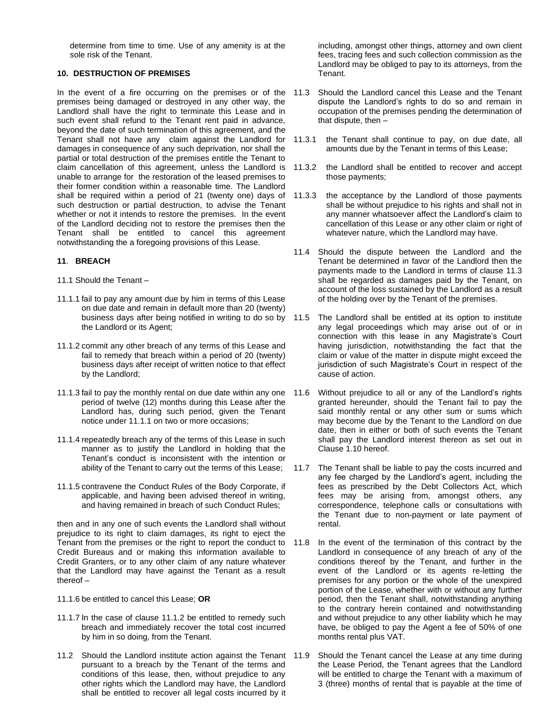determine from time to time. Use of any amenity is at the sole risk of the Tenant.

## **10. DESTRUCTION OF PREMISES**

premises being damaged or destroyed in any other way, the Landlord shall have the right to terminate this Lease and in such event shall refund to the Tenant rent paid in advance, beyond the date of such termination of this agreement, and the Tenant shall not have any claim against the Landlord for damages in consequence of any such deprivation, nor shall the partial or total destruction of the premises entitle the Tenant to claim cancellation of this agreement, unless the Landlord is unable to arrange for the restoration of the leased premises to their former condition within a reasonable time. The Landlord shall be required within a period of 21 (twenty one) days of such destruction or partial destruction, to advise the Tenant whether or not it intends to restore the premises. In the event of the Landlord deciding not to restore the premises then the Tenant shall be entitled to cancel this agreement notwithstanding the a foregoing provisions of this Lease.

## **11**. **BREACH**

- 11.1 Should the Tenant –
- 11.1.1 fail to pay any amount due by him in terms of this Lease on due date and remain in default more than 20 (twenty) business days after being notified in writing to do so by 11.5 the Landlord or its Agent;
- 11.1.2 commit any other breach of any terms of this Lease and fail to remedy that breach within a period of 20 (twenty) business days after receipt of written notice to that effect by the Landlord;
- 11.1.3 fail to pay the monthly rental on due date within any one period of twelve (12) months during this Lease after the Landlord has, during such period, given the Tenant notice under 11.1.1 on two or more occasions;
- 11.1.4 repeatedly breach any of the terms of this Lease in such manner as to justify the Landlord in holding that the Tenant's conduct is inconsistent with the intention or ability of the Tenant to carry out the terms of this Lease;
- 11.1.5 contravene the Conduct Rules of the Body Corporate, if applicable, and having been advised thereof in writing, and having remained in breach of such Conduct Rules;

then and in any one of such events the Landlord shall without prejudice to its right to claim damages, its right to eject the Tenant from the premises or the right to report the conduct to Credit Bureaus and or making this information available to Credit Granters, or to any other claim of any nature whatever that the Landlord may have against the Tenant as a result thereof –

- 11.1.6 be entitled to cancel this Lease; **OR**
- 11.1.7 In the case of clause 11.1.2 be entitled to remedy such breach and immediately recover the total cost incurred by him in so doing, from the Tenant.
- 11.2 Should the Landlord institute action against the Tenant 11.9 pursuant to a breach by the Tenant of the terms and conditions of this lease, then, without prejudice to any other rights which the Landlord may have, the Landlord shall be entitled to recover all legal costs incurred by it

including, amongst other things, attorney and own client fees, tracing fees and such collection commission as the Landlord may be obliged to pay to its attorneys, from the Tenant.

- In the event of a fire occurring on the premises or of the 11.3 Should the Landlord cancel this Lease and the Tenant dispute the Landlord's rights to do so and remain in occupation of the premises pending the determination of that dispute, then –
	- 11.3.1 the Tenant shall continue to pay, on due date, all amounts due by the Tenant in terms of this Lease;
	- 11.3.2 the Landlord shall be entitled to recover and accept those payments;
	- 11.3.3 the acceptance by the Landlord of those payments shall be without prejudice to his rights and shall not in any manner whatsoever affect the Landlord's claim to cancellation of this Lease or any other claim or right of whatever nature, which the Landlord may have.
	- 11.4 Should the dispute between the Landlord and the Tenant be determined in favor of the Landlord then the payments made to the Landlord in terms of clause 11.3 shall be regarded as damages paid by the Tenant, on account of the loss sustained by the Landlord as a result of the holding over by the Tenant of the premises.
	- The Landlord shall be entitled at its option to institute any legal proceedings which may arise out of or in connection with this lease in any Magistrate's Court having jurisdiction, notwithstanding the fact that the claim or value of the matter in dispute might exceed the jurisdiction of such Magistrate's Court in respect of the cause of action.
	- Without prejudice to all or any of the Landlord's rights granted hereunder, should the Tenant fail to pay the said monthly rental or any other sum or sums which may become due by the Tenant to the Landlord on due date, then in either or both of such events the Tenant shall pay the Landlord interest thereon as set out in Clause 1.10 hereof.
	- 11.7 The Tenant shall be liable to pay the costs incurred and any fee charged by the Landlord's agent, including the fees as prescribed by the Debt Collectors Act, which fees may be arising from, amongst others, any correspondence, telephone calls or consultations with the Tenant due to non-payment or late payment of rental.
	- 11.8 In the event of the termination of this contract by the Landlord in consequence of any breach of any of the conditions thereof by the Tenant, and further in the event of the Landlord or its agents re-letting the premises for any portion or the whole of the unexpired portion of the Lease, whether with or without any further period, then the Tenant shall, notwithstanding anything to the contrary herein contained and notwithstanding and without prejudice to any other liability which he may have, be obliged to pay the Agent a fee of 50% of one months rental plus VAT.
		- Should the Tenant cancel the Lease at any time during the Lease Period, the Tenant agrees that the Landlord will be entitled to charge the Tenant with a maximum of 3 (three) months of rental that is payable at the time of